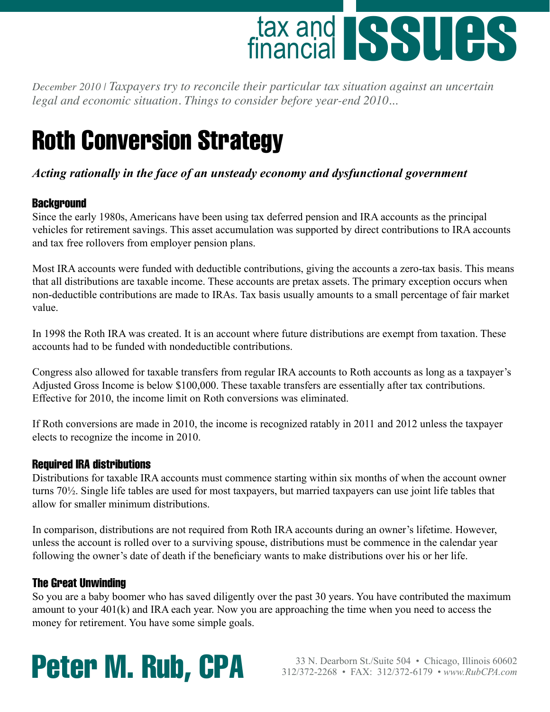

*December 2010 | Taxpayers try to reconcile their particular tax situation against an uncertain legal and economic situation. Things to consider before year-end 2010...* 

# Roth Conversion Strategy

## *Acting rationally in the face of an unsteady economy and dysfunctional government*

## **Background**

Since the early 1980s, Americans have been using tax deferred pension and IRA accounts as the principal vehicles for retirement savings. This asset accumulation was supported by direct contributions to IRA accounts and tax free rollovers from employer pension plans.

Most IRA accounts were funded with deductible contributions, giving the accounts a zero-tax basis. This means that all distributions are taxable income. These accounts are pretax assets. The primary exception occurs when non-deductible contributions are made to IRAs. Tax basis usually amounts to a small percentage of fair market value.

In 1998 the Roth IRA was created. It is an account where future distributions are exempt from taxation. These accounts had to be funded with nondeductible contributions.

Congress also allowed for taxable transfers from regular IRA accounts to Roth accounts as long as a taxpayer's Adjusted Gross Income is below \$100,000. These taxable transfers are essentially after tax contributions. Effective for 2010, the income limit on Roth conversions was eliminated.

If Roth conversions are made in 2010, the income is recognized ratably in 2011 and 2012 unless the taxpayer elects to recognize the income in 2010.

## Required IRA distributions

Distributions for taxable IRA accounts must commence starting within six months of when the account owner turns 70½. Single life tables are used for most taxpayers, but married taxpayers can use joint life tables that allow for smaller minimum distributions.

In comparison, distributions are not required from Roth IRA accounts during an owner's lifetime. However, unless the account is rolled over to a surviving spouse, distributions must be commence in the calendar year following the owner's date of death if the beneficiary wants to make distributions over his or her life.

## The Great Unwinding

So you are a baby boomer who has saved diligently over the past 30 years. You have contributed the maximum amount to your 401(k) and IRA each year. Now you are approaching the time when you need to access the money for retirement. You have some simple goals.

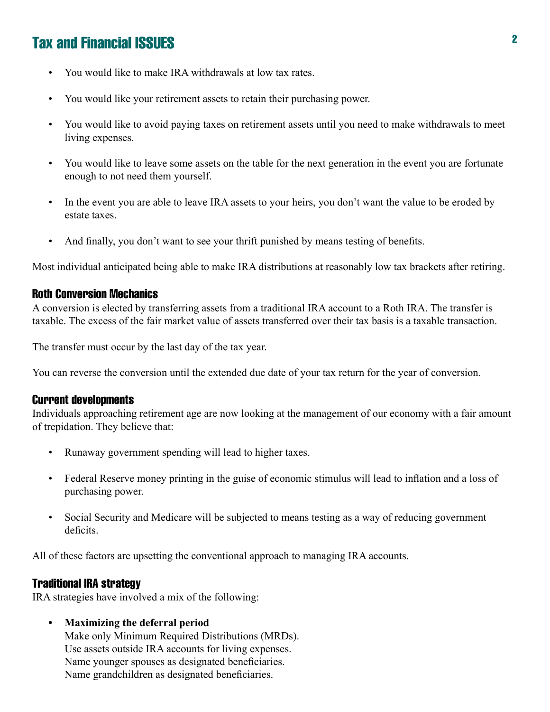- You would like to make IRA withdrawals at low tax rates. •
- You would like your retirement assets to retain their purchasing power. •
- You would like to avoid paying taxes on retirement assets until you need to make withdrawals to meet living expenses. •
- You would like to leave some assets on the table for the next generation in the event you are fortunate enough to not need them yourself. •
- In the event you are able to leave IRA assets to your heirs, you don't want the value to be eroded by estate taxes. •
- And finally, you don't want to see your thrift punished by means testing of benefits. •

Most individual anticipated being able to make IRA distributions at reasonably low tax brackets after retiring.

### Roth Conversion Mechanics

A conversion is elected by transferring assets from a traditional IRA account to a Roth IRA. The transfer is taxable. The excess of the fair market value of assets transferred over their tax basis is a taxable transaction.

The transfer must occur by the last day of the tax year.

You can reverse the conversion until the extended due date of your tax return for the year of conversion.

### Current developments

Individuals approaching retirement age are now looking at the management of our economy with a fair amount of trepidation. They believe that:

- Runaway government spending will lead to higher taxes.
- Federal Reserve money printing in the guise of economic stimulus will lead to inflation and a loss of purchasing power. •
- Social Security and Medicare will be subjected to means testing as a way of reducing government deficits. •

All of these factors are upsetting the conventional approach to managing IRA accounts.

### Traditional IRA strategy

IRA strategies have involved a mix of the following:

**Maximizing the deferral period •**

Make only Minimum Required Distributions (MRDs). Use assets outside IRA accounts for living expenses. Name younger spouses as designated beneficiaries. Name grandchildren as designated beneficiaries.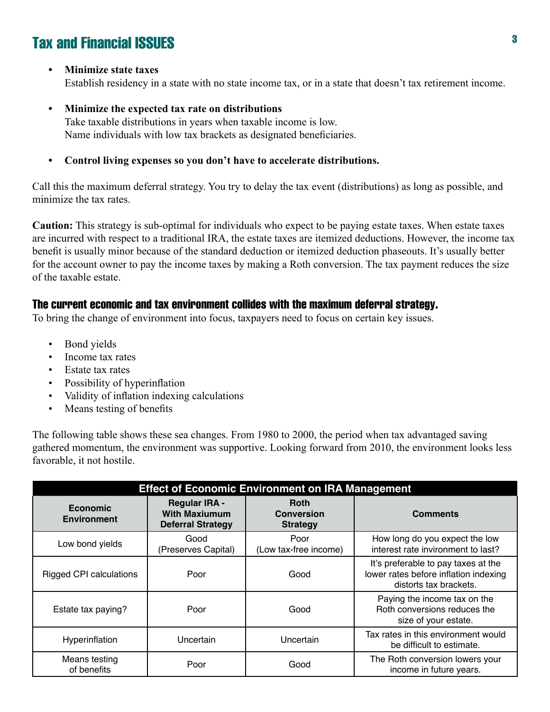#### **Minimize state taxes •**

Establish residency in a state with no state income tax, or in a state that doesn't tax retirement income.

#### **Minimize the expected tax rate on distributions •**

Take taxable distributions in years when taxable income is low. Name individuals with low tax brackets as designated beneficiaries.

**Control living expenses so you don't have to accelerate distributions. •**

Call this the maximum deferral strategy. You try to delay the tax event (distributions) as long as possible, and minimize the tax rates.

**Caution:** This strategy is sub-optimal for individuals who expect to be paying estate taxes. When estate taxes are incurred with respect to a traditional IRA, the estate taxes are itemized deductions. However, the income tax benefit is usually minor because of the standard deduction or itemized deduction phaseouts. It's usually better for the account owner to pay the income taxes by making a Roth conversion. The tax payment reduces the size of the taxable estate.

## The current economic and tax environment collides with the maximum deferral strategy.

To bring the change of environment into focus, taxpayers need to focus on certain key issues.

- Bond yields •
- Income tax rates •
- Estate tax rates •
- Possibility of hyperinflation •
- Validity of inflation indexing calculations •
- Means testing of benefits •

The following table shows these sea changes. From 1980 to 2000, the period when tax advantaged saving gathered momentum, the environment was supportive. Looking forward from 2010, the environment looks less favorable, it not hostile.

| <b>Effect of Economic Environment on IRA Management</b> |                                                                          |                                                     |                                                                                                        |  |
|---------------------------------------------------------|--------------------------------------------------------------------------|-----------------------------------------------------|--------------------------------------------------------------------------------------------------------|--|
| Economic<br><b>Environment</b>                          | <b>Regular IRA -</b><br><b>With Maxiumum</b><br><b>Deferral Strategy</b> | <b>Roth</b><br><b>Conversion</b><br><b>Strategy</b> | <b>Comments</b>                                                                                        |  |
| Low bond yields                                         | Good<br>(Preserves Capital)                                              | Poor<br>(Low tax-free income)                       | How long do you expect the low<br>interest rate invironment to last?                                   |  |
| <b>Rigged CPI calculations</b>                          | Poor                                                                     | Good                                                | It's preferable to pay taxes at the<br>lower rates before inflation indexing<br>distorts tax brackets. |  |
| Estate tax paying?                                      | Poor                                                                     | Good                                                | Paying the income tax on the<br>Roth conversions reduces the<br>size of your estate.                   |  |
| Hyperinflation                                          | Uncertain                                                                | Uncertain                                           | Tax rates in this environment would<br>be difficult to estimate.                                       |  |
| Means testing<br>of benefits                            | Poor                                                                     | Good                                                | The Roth conversion lowers your<br>income in future years.                                             |  |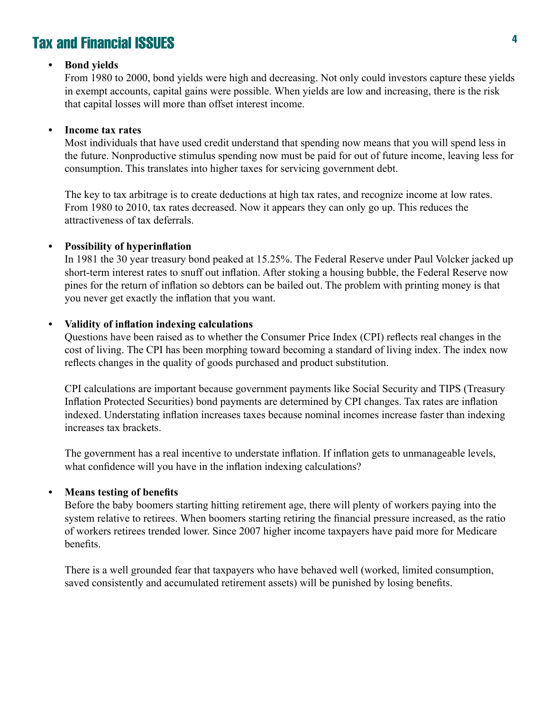#### **Bond yields •**

From 1980 to 2000, bond yields were high and decreasing. Not only could investors capture these yields in exempt accounts, capital gains were possible. When yields are low and increasing, there is the risk that capital losses will more than offset interest income.

#### **Income tax rates •**

Most individuals that have used credit understand that spending now means that you will spend less in the future. Nonproductive stimulus spending now must be paid for out of future income, leaving less for consumption. This translates into higher taxes for servicing government debt.

The key to tax arbitrage is to create deductions at high tax rates, and recognize income at low rates. From 1980 to 2010, tax rates decreased. Now it appears they can only go up. This reduces the attractiveness of tax deferrals.

#### **Possibility of hyperinflation •**

In 1981 the 30 year treasury bond peaked at 15.25%. The Federal Reserve under Paul Volcker jacked up short-term interest rates to snuff out inflation. After stoking a housing bubble, the Federal Reserve now pines for the return of inflation so debtors can be bailed out. The problem with printing money is that you never get exactly the inflation that you want.

#### **Validity of inflation indexing calculations •**

Questions have been raised as to whether the Consumer Price Index (CPI) reflects real changes in the cost of living. The CPI has been morphing toward becoming a standard of living index. The index now reflects changes in the quality of goods purchased and product substitution.

CPI calculations are important because government payments like Social Security and TIPS (Treasury Inflation Protected Securities) bond payments are determined by CPI changes. Tax rates are inflation indexed. Understating inflation increases taxes because nominal incomes increase faster than indexing increases tax brackets.

The government has a real incentive to understate inflation. If inflation gets to unmanageable levels, what confidence will you have in the inflation indexing calculations?

#### **Means testing of benefits •**

Before the baby boomers starting hitting retirement age, there will plenty of workers paying into the system relative to retirees. When boomers starting retiring the financial pressure increased, as the ratio of workers retirees trended lower. Since 2007 higher income taxpayers have paid more for Medicare benefits.

There is a well grounded fear that taxpayers who have behaved well (worked, limited consumption, saved consistently and accumulated retirement assets) will be punished by losing benefits.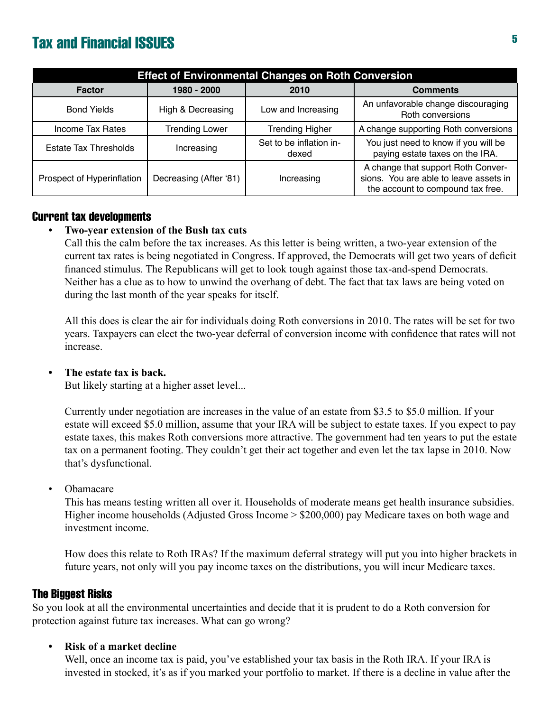| <b>Effect of Environmental Changes on Roth Conversion</b> |                        |                                  |                                                                                                                   |  |
|-----------------------------------------------------------|------------------------|----------------------------------|-------------------------------------------------------------------------------------------------------------------|--|
| Factor                                                    | 1980 - 2000            | 2010                             | <b>Comments</b>                                                                                                   |  |
| <b>Bond Yields</b>                                        | High & Decreasing      | Low and Increasing               | An unfavorable change discouraging<br>Roth conversions                                                            |  |
| Income Tax Rates                                          | <b>Trending Lower</b>  | <b>Trending Higher</b>           | A change supporting Roth conversions                                                                              |  |
| <b>Estate Tax Thresholds</b>                              | Increasing             | Set to be inflation in-<br>dexed | You just need to know if you will be<br>paying estate taxes on the IRA.                                           |  |
| Prospect of Hyperinflation                                | Decreasing (After '81) | Increasing                       | A change that support Roth Conver-<br>sions. You are able to leave assets in<br>the account to compound tax free. |  |

### Current tax developments

#### **Two-year extension of the Bush tax cuts •**

Call this the calm before the tax increases. As this letter is being written, a two-year extension of the current tax rates is being negotiated in Congress. If approved, the Democrats will get two years of deficit financed stimulus. The Republicans will get to look tough against those tax-and-spend Democrats. Neither has a clue as to how to unwind the overhang of debt. The fact that tax laws are being voted on during the last month of the year speaks for itself.

All this does is clear the air for individuals doing Roth conversions in 2010. The rates will be set for two years. Taxpayers can elect the two-year deferral of conversion income with confidence that rates will not increase.

#### **The estate tax is back. •**

But likely starting at a higher asset level...

Currently under negotiation are increases in the value of an estate from \$3.5 to \$5.0 million. If your estate will exceed \$5.0 million, assume that your IRA will be subject to estate taxes. If you expect to pay estate taxes, this makes Roth conversions more attractive. The government had ten years to put the estate tax on a permanent footing. They couldn't get their act together and even let the tax lapse in 2010. Now that's dysfunctional.

Obamacare •

> This has means testing written all over it. Households of moderate means get health insurance subsidies. Higher income households (Adjusted Gross Income > \$200,000) pay Medicare taxes on both wage and investment income.

> How does this relate to Roth IRAs? If the maximum deferral strategy will put you into higher brackets in future years, not only will you pay income taxes on the distributions, you will incur Medicare taxes.

### The Biggest Risks

So you look at all the environmental uncertainties and decide that it is prudent to do a Roth conversion for protection against future tax increases. What can go wrong?

#### **Risk of a market decline •**

Well, once an income tax is paid, you've established your tax basis in the Roth IRA. If your IRA is invested in stocked, it's as if you marked your portfolio to market. If there is a decline in value after the